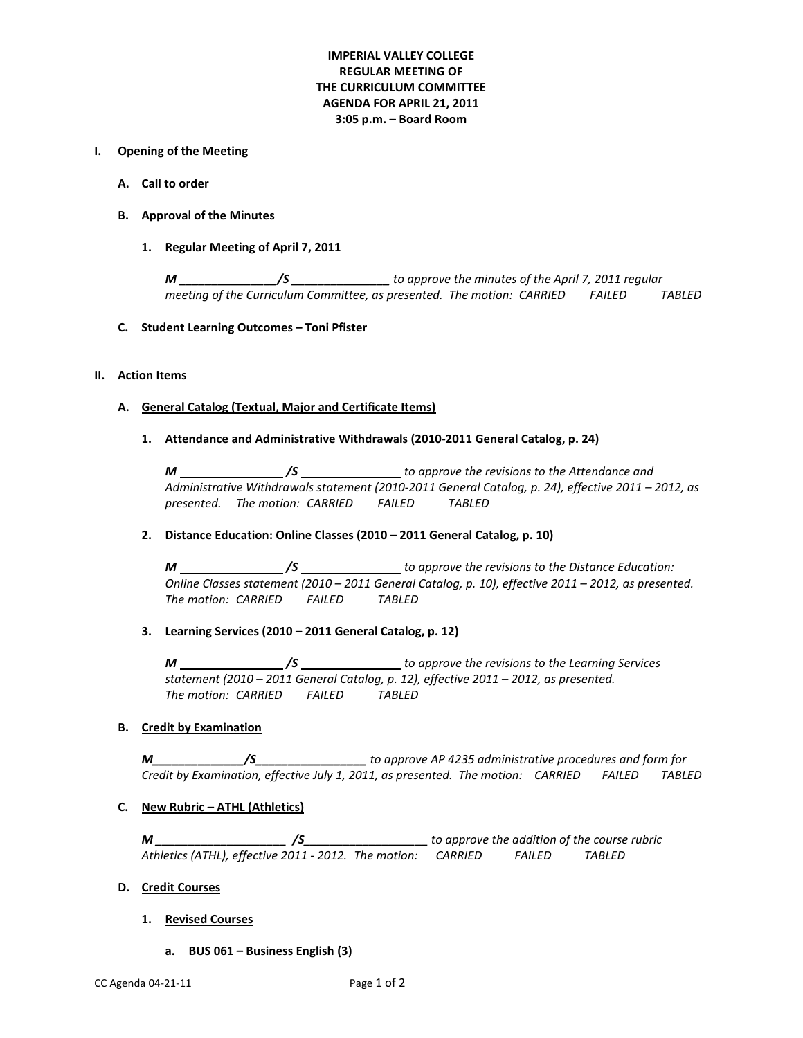# **IMPERIAL VALLEY COLLEGE REGULAR MEETING OF THE CURRICULUM COMMITTEE AGENDA FOR APRIL 21, 2011 3:05 p.m. – Board Room**

#### **I. Opening of the Meeting**

- **A. Call to order**
- **B. Approval of the Minutes**
	- **1. Regular Meeting of April 7, 2011**

*M \_\_\_\_\_\_\_\_\_\_\_\_\_\_\_/S \_\_\_\_\_\_\_\_\_\_\_\_\_\_\_ to approve the minutes of the April 7, 2011 regular meeting of the Curriculum Committee, as presented. The motion: CARRIED FAILED TABLED*

**C. Student Learning Outcomes – Toni Pfister**

#### **II. Action Items**

#### **A. General Catalog (Textual, Major and Certificate Items)**

**1. Attendance and Administrative Withdrawals (2010-2011 General Catalog, p. 24)**

*M \_\_\_\_\_\_\_\_\_\_\_\_\_\_\_\_\_/S* \_\_\_\_\_\_\_\_\_\_\_\_\_\_\_\_\_ to approve the revisions to the Attendance and *Administrative Withdrawals statement (2010-2011 General Catalog, p. 24), effective 2011 – 2012, as presented. The motion: CARRIED FAILED TABLED*

# **2. Distance Education: Online Classes (2010 – 2011 General Catalog, p. 10)**

*M /S to approve the revisions to the Distance Education: Online Classes statement (2010 – 2011 General Catalog, p. 10), effective 2011 – 2012, as presented. The motion: CARRIED FAILED TABLED*

# **3. Learning Services (2010 – 2011 General Catalog, p. 12)**

*M /S to approve the revisions to the Learning Services statement (2010 – 2011 General Catalog, p. 12), effective 2011 – 2012, as presented. The motion: CARRIED FAILED TABLED*

# **B. Credit by Examination**

*M\_\_\_\_\_\_\_\_\_\_\_\_\_\_/S\_\_\_\_\_\_\_\_\_\_\_\_\_\_\_\_\_ to approve AP 4235 administrative procedures and form for Credit by Examination, effective July 1, 2011, as presented. The motion: CARRIED FAILED TABLED*

# **C. New Rubric – ATHL (Athletics)**

*M \_\_\_\_\_\_\_\_\_\_\_\_\_\_\_\_\_\_\_\_ /S\_\_\_\_\_\_\_\_\_\_\_\_\_\_\_\_\_\_\_ to approve the addition of the course rubric Athletics (ATHL), effective 2011 - 2012. The motion: CARRIED FAILED TABLED*

# **D. Credit Courses**

- **1. Revised Courses**
	- **a. BUS 061 – Business English (3)**